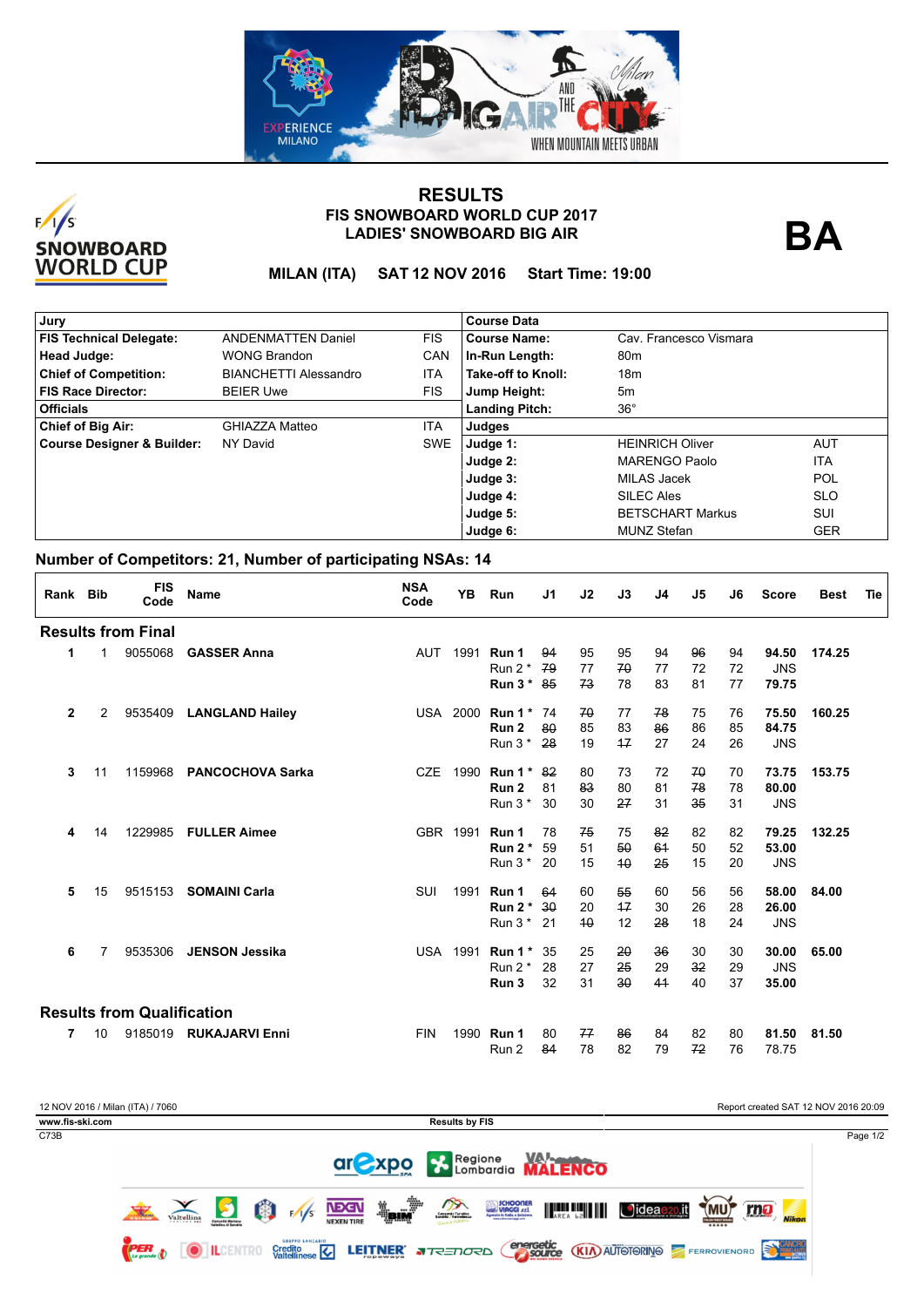



## **LADIES' SNOWBOARD BIG AIR FIS SNOWBOARD WORLD CUP 2017 RESULTS**

**BA**

**MILAN (ITA) SAT 12 NOV 2016 Start Time: 19:00**

| Jury                           |                              |            | <b>Course Data</b>    |                         |            |
|--------------------------------|------------------------------|------------|-----------------------|-------------------------|------------|
| <b>FIS Technical Delegate:</b> | <b>ANDENMATTEN Daniel</b>    | <b>FIS</b> | <b>Course Name:</b>   | Cav. Francesco Vismara  |            |
| Head Judge:                    | <b>WONG Brandon</b>          | CAN        | In-Run Length:        | 80 <sub>m</sub>         |            |
| <b>Chief of Competition:</b>   | <b>BIANCHETTI Alessandro</b> | ITA        | Take-off to Knoll:    | 18m                     |            |
| <b>FIS Race Director:</b>      | <b>BEIER Uwe</b>             | <b>FIS</b> | Jump Height:          | 5m                      |            |
| Officials                      |                              |            | <b>Landing Pitch:</b> | $36^{\circ}$            |            |
| Chief of Big Air:              | GHIAZZA Matteo               | ITA        | Judges                |                         |            |
| Course Designer & Builder:     | NY David                     | SWE        | Judge 1:              | <b>HEINRICH Oliver</b>  | <b>AUT</b> |
|                                |                              |            | Judge 2:              | <b>MARENGO Paolo</b>    | <b>ITA</b> |
|                                |                              |            | Judge 3:              | MILAS Jacek             | <b>POL</b> |
|                                |                              |            | Judge 4:              | <b>SILEC Ales</b>       | <b>SLO</b> |
|                                |                              |            | Judge 5:              | <b>BETSCHART Markus</b> | SUI        |
|                                |                              |            | Judge 6:              | <b>MUNZ Stefan</b>      | <b>GER</b> |

## **Number of Competitors: 21, Number of participating NSAs: 14**

| Rank Bib     |    | <b>FIS</b><br>Code                | <b>Name</b>             | <b>NSA</b><br>Code | YB              | Run       | J1  | J2 | J3   | J4 | J5 | J6 | <b>Score</b> | <b>Best</b> | Tie |
|--------------|----|-----------------------------------|-------------------------|--------------------|-----------------|-----------|-----|----|------|----|----|----|--------------|-------------|-----|
|              |    | <b>Results from Final</b>         |                         |                    |                 |           |     |    |      |    |    |    |              |             |     |
| 1            | 1  | 9055068                           | <b>GASSER Anna</b>      | <b>AUT</b>         | 1991            | Run 1     | 94  | 95 | 95   | 94 | 96 | 94 | 94.50        | 174.25      |     |
|              |    |                                   |                         |                    |                 | Run $2^*$ | 79  | 77 | 70   | 77 | 72 | 72 | <b>JNS</b>   |             |     |
|              |    |                                   |                         |                    |                 | Run $3*$  | 85  | 73 | 78   | 83 | 81 | 77 | 79.75        |             |     |
| $\mathbf{2}$ | 2  | 9535409                           | <b>LANGLAND Hailey</b>  |                    | <b>USA 2000</b> | Run 1*    | -74 | 70 | 77   | 78 | 75 | 76 | 75.50        | 160.25      |     |
|              |    |                                   |                         |                    |                 | Run 2     | 80  | 85 | 83   | 86 | 86 | 85 | 84.75        |             |     |
|              |    |                                   |                         |                    |                 | Run $3*$  | 28  | 19 | 17   | 27 | 24 | 26 | <b>JNS</b>   |             |     |
| 3            | 11 | 1159968                           | <b>PANCOCHOVA Sarka</b> | <b>CZE</b>         | 1990            | Run $1^*$ | -82 | 80 | 73   | 72 | 70 | 70 | 73.75        | 153.75      |     |
|              |    |                                   |                         |                    |                 | Run 2     | 81  | 83 | 80   | 81 | 78 | 78 | 80.00        |             |     |
|              |    |                                   |                         |                    |                 | Run $3*$  | 30  | 30 | 27   | 31 | 35 | 31 | <b>JNS</b>   |             |     |
| 4            | 14 | 1229985                           | <b>FULLER Aimee</b>     |                    | GBR 1991        | Run 1     | 78  | 75 | 75   | 82 | 82 | 82 | 79.25        | 132.25      |     |
|              |    |                                   |                         |                    |                 | Run $2^*$ | 59  | 51 | 50   | 64 | 50 | 52 | 53.00        |             |     |
|              |    |                                   |                         |                    |                 | Run $3*$  | 20  | 15 | 40   | 25 | 15 | 20 | <b>JNS</b>   |             |     |
| 5            | 15 |                                   | 9515153 SOMAINI Carla   | SUI                | 1991            | Run 1     | 64  | 60 | 55   | 60 | 56 | 56 | 58.00        | 84.00       |     |
|              |    |                                   |                         |                    |                 | Run $2^*$ | 30  | 20 | $+7$ | 30 | 26 | 28 | 26.00        |             |     |
|              |    |                                   |                         |                    |                 | Run $3*$  | 21  | 40 | 12   | 28 | 18 | 24 | <b>JNS</b>   |             |     |
| 6            | 7  | 9535306                           | <b>JENSON Jessika</b>   |                    | <b>USA 1991</b> | Run $1^*$ | -35 | 25 | 20   | 36 | 30 | 30 | 30.00        | 65.00       |     |
|              |    |                                   |                         |                    |                 | Run $2^*$ | 28  | 27 | 25   | 29 | 32 | 29 | <b>JNS</b>   |             |     |
|              |    |                                   |                         |                    |                 | Run 3     | 32  | 31 | 30   | 41 | 40 | 37 | 35.00        |             |     |
|              |    | <b>Results from Qualification</b> |                         |                    |                 |           |     |    |      |    |    |    |              |             |     |
| 7            | 10 |                                   | 9185019 RUKAJARVI Enni  | <b>FIN</b>         | 1990            | Run 1     | 80  | 77 | 86   | 84 | 82 | 80 | 81.50        | 81.50       |     |
|              |    |                                   |                         |                    |                 | Run 2     | 84  | 78 | 82   | 79 | 72 | 76 | 78.75        |             |     |

| 12 NOV 2016 / Milan (ITA) / 7060<br>www.fis-ski.com |                                                                            |            |                 |   |                                                   |                                  |              | <b>Results by FIS</b>    |                                                             |         |                                   |                 |                            | Report created SAT 12 NOV 2016 20:09 |
|-----------------------------------------------------|----------------------------------------------------------------------------|------------|-----------------|---|---------------------------------------------------|----------------------------------|--------------|--------------------------|-------------------------------------------------------------|---------|-----------------------------------|-----------------|----------------------------|--------------------------------------|
| C73B                                                |                                                                            |            |                 |   |                                                   |                                  |              | ar Xpo X Regione WALENCO |                                                             |         |                                   |                 |                            | Page 1/2                             |
|                                                     | <b>CHIERA BARTING</b>                                                      | Valtellina |                 | 的 | F/1/s                                             | <b>NBGN</b><br><b>NEXEN TIRE</b> | <b>Telly</b> | $\sum_{\text{center}}$   | SCHOONER<br>VIAGGI <i>xx</i> l.<br>Agencie in links a state | AREA LE | <b>Jideae20.it</b>                | $M$ U)<br>***** | <u>rno</u><br><b>Nikon</b> |                                      |
|                                                     | $\left(\begin{array}{cc} 1 & -1 \\ 0 & \text{count of} \end{array}\right)$ |            | <b>ILCENTRO</b> |   | <b>GRUPPO EANCARIO</b><br>Credito<br>Valtellinese |                                  |              | LEITNER JREDORD          |                                                             |         | <b>energetic (KIA)</b> AUTOTORINO |                 |                            |                                      |